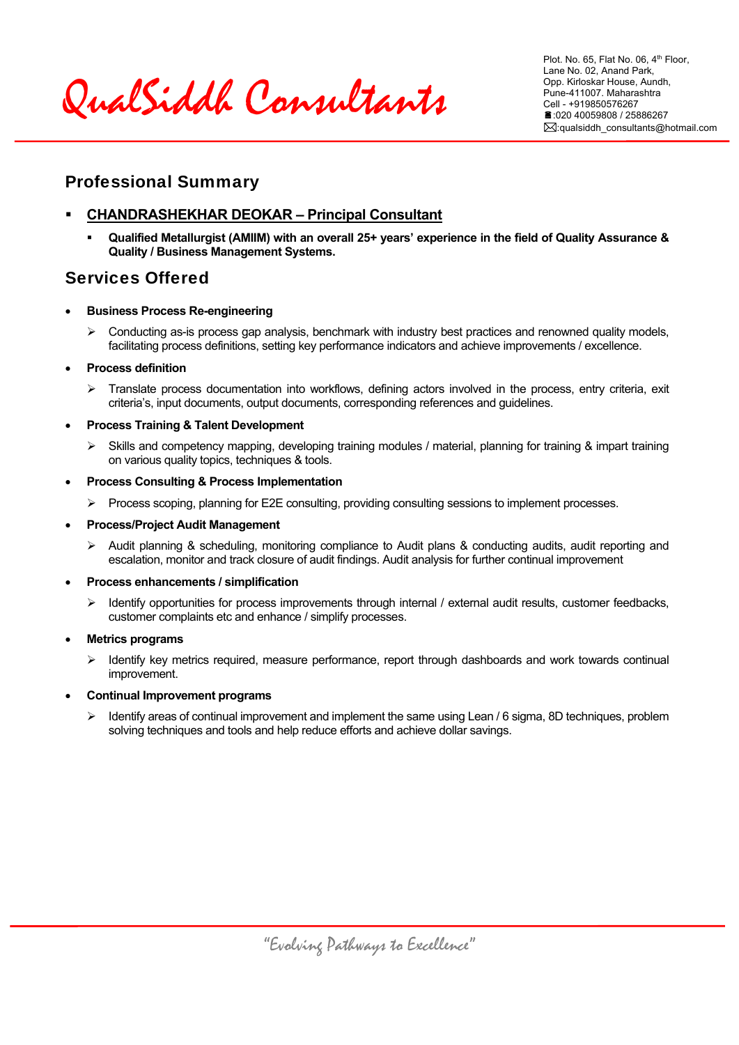QualSiddh Consultants

Plot. No. 65, Flat No. 06, 4<sup>th</sup> Floor, Lane No. 02, Anand Park, Opp. Kirloskar House, Aundh, Pune-411007. Maharashtra Cell - +919850576267 :020 40059808 / 25886267 :qualsiddh\_consultants@hotmail.com

### Professional Summary

### **CHANDRASHEKHAR DEOKAR – Principal Consultant**

 **Qualified Metallurgist (AMIIM) with an overall 25+ years' experience in the field of Quality Assurance & Quality / Business Management Systems.** 

# Services Offered

- **Business Process Re-engineering** 
	- $\triangleright$  Conducting as-is process gap analysis, benchmark with industry best practices and renowned quality models, facilitating process definitions, setting key performance indicators and achieve improvements / excellence.

#### **Process definition**

- $\triangleright$  Translate process documentation into workflows, defining actors involved in the process, entry criteria, exit criteria's, input documents, output documents, corresponding references and guidelines.
- **Process Training & Talent Development** 
	- $\triangleright$  Skills and competency mapping, developing training modules / material, planning for training & impart training on various quality topics, techniques & tools.
- **Process Consulting & Process Implementation** 
	- Process scoping, planning for E2E consulting, providing consulting sessions to implement processes.
- **Process/Project Audit Management** 
	- $\triangleright$  Audit planning & scheduling, monitoring compliance to Audit plans & conducting audits, audit reporting and escalation, monitor and track closure of audit findings. Audit analysis for further continual improvement
- **Process enhancements / simplification** 
	- $\triangleright$  Identify opportunities for process improvements through internal / external audit results, customer feedbacks, customer complaints etc and enhance / simplify processes.

#### **Metrics programs**

 $\triangleright$  Identify key metrics required, measure performance, report through dashboards and work towards continual improvement.

#### **Continual Improvement programs**

 Identify areas of continual improvement and implement the same using Lean / 6 sigma, 8D techniques, problem solving techniques and tools and help reduce efforts and achieve dollar savings.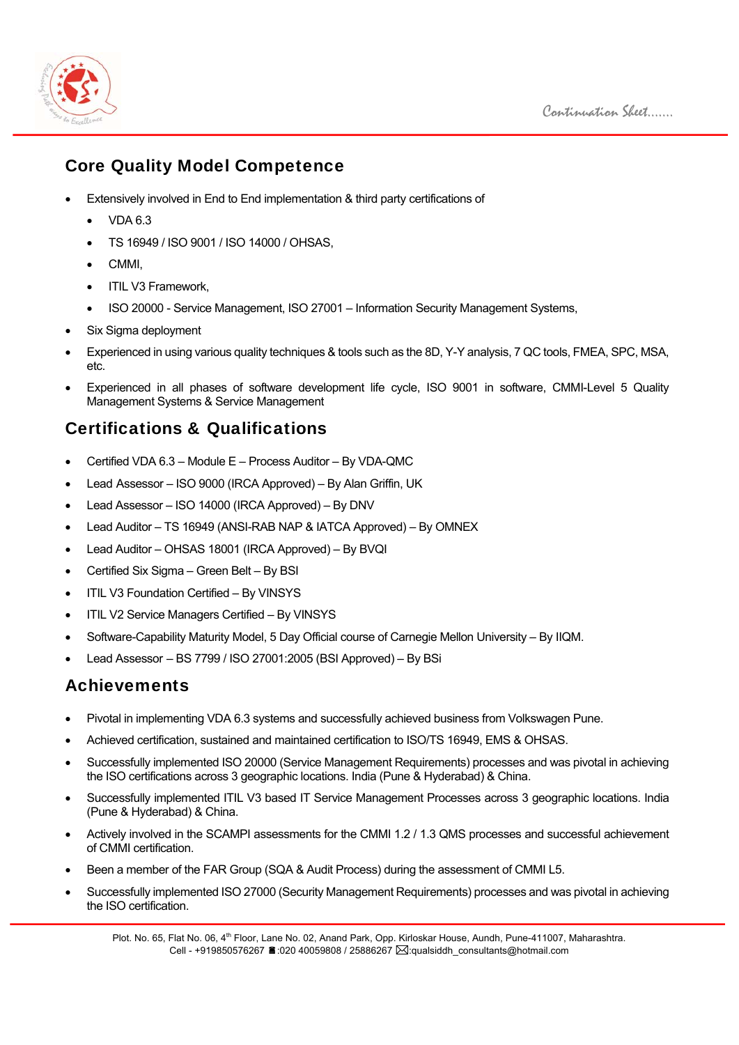



### Core Quality Model Competence

- Extensively involved in End to End implementation & third party certifications of
	- VDA 6.3
	- TS 16949 / ISO 9001 / ISO 14000 / OHSAS,
	- CMMI,
	- ITIL V3 Framework,
	- ISO 20000 Service Management, ISO 27001 Information Security Management Systems,
- Six Sigma deployment
- Experienced in using various quality techniques & tools such as the 8D, Y-Y analysis, 7 QC tools, FMEA, SPC, MSA, etc.
- Experienced in all phases of software development life cycle, ISO 9001 in software, CMMI-Level 5 Quality Management Systems & Service Management

# Certifications & Qualifications

- Certified VDA 6.3 Module E Process Auditor By VDA-QMC
- Lead Assessor ISO 9000 (IRCA Approved) By Alan Griffin, UK
- Lead Assessor ISO 14000 (IRCA Approved) By DNV
- Lead Auditor TS 16949 (ANSI-RAB NAP & IATCA Approved) By OMNEX
- Lead Auditor OHSAS 18001 (IRCA Approved) By BVQI
- Certified Six Sigma Green Belt By BSI
- ITIL V3 Foundation Certified By VINSYS
- ITIL V2 Service Managers Certified By VINSYS
- Software-Capability Maturity Model, 5 Day Official course of Carnegie Mellon University By IIQM.
- Lead Assessor BS 7799 / ISO 27001:2005 (BSI Approved) By BSi

### Achievements

- Pivotal in implementing VDA 6.3 systems and successfully achieved business from Volkswagen Pune.
- Achieved certification, sustained and maintained certification to ISO/TS 16949, EMS & OHSAS.
- Successfully implemented ISO 20000 (Service Management Requirements) processes and was pivotal in achieving the ISO certifications across 3 geographic locations. India (Pune & Hyderabad) & China.
- Successfully implemented ITIL V3 based IT Service Management Processes across 3 geographic locations. India (Pune & Hyderabad) & China.
- Actively involved in the SCAMPI assessments for the CMMI 1.2 / 1.3 QMS processes and successful achievement of CMMI certification.
- Been a member of the FAR Group (SQA & Audit Process) during the assessment of CMMI L5.
- Successfully implemented ISO 27000 (Security Management Requirements) processes and was pivotal in achieving the ISO certification.

Plot. No. 65, Flat No. 06, 4<sup>th</sup> Floor, Lane No. 02, Anand Park, Opp. Kirloskar House, Aundh, Pune-411007, Maharashtra. Cell - +919850576267  $\triangleq$ :020 40059808 / 25886267  $\boxtimes$ : qualsiddh\_consultants@hotmail.com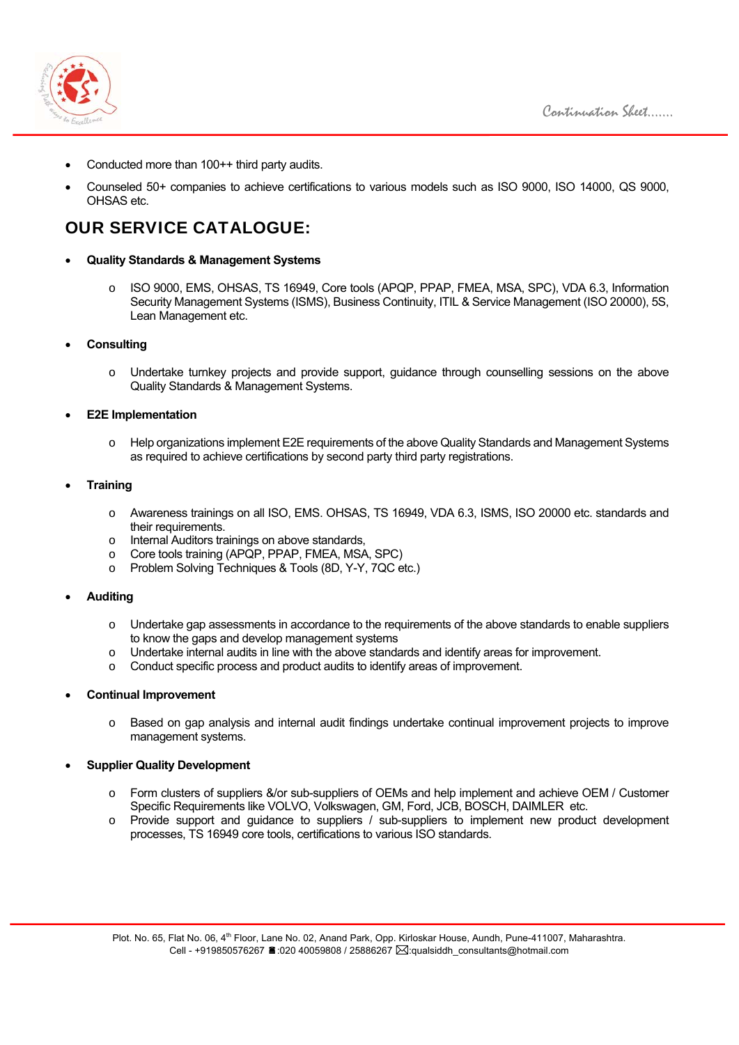

- Conducted more than 100++ third party audits.
- Counseled 50+ companies to achieve certifications to various models such as ISO 9000, ISO 14000, QS 9000, OHSAS etc.

# OUR SERVICE CATALOGUE:

- **Quality Standards & Management Systems** 
	- o ISO 9000, EMS, OHSAS, TS 16949, Core tools (APQP, PPAP, FMEA, MSA, SPC), VDA 6.3, Information Security Management Systems (ISMS), Business Continuity, ITIL & Service Management (ISO 20000), 5S, Lean Management etc.
- **Consulting** 
	- o Undertake turnkey projects and provide support, guidance through counselling sessions on the above Quality Standards & Management Systems.
- **E2E Implementation** 
	- o Help organizations implement E2E requirements of the above Quality Standards and Management Systems as required to achieve certifications by second party third party registrations.
- **Training** 
	- o Awareness trainings on all ISO, EMS. OHSAS, TS 16949, VDA 6.3, ISMS, ISO 20000 etc. standards and their requirements.
	- o Internal Auditors trainings on above standards,
	- o Core tools training (APQP, PPAP, FMEA, MSA, SPC)
	- o Problem Solving Techniques & Tools (8D, Y-Y, 7QC etc.)
- **Auditing** 
	- o Undertake gap assessments in accordance to the requirements of the above standards to enable suppliers to know the gaps and develop management systems
	- o Undertake internal audits in line with the above standards and identify areas for improvement.
	- o Conduct specific process and product audits to identify areas of improvement.

#### **Continual Improvement**

o Based on gap analysis and internal audit findings undertake continual improvement projects to improve management systems.

#### **Supplier Quality Development**

- o Form clusters of suppliers &/or sub-suppliers of OEMs and help implement and achieve OEM / Customer Specific Requirements like VOLVO, Volkswagen, GM, Ford, JCB, BOSCH, DAIMLER etc.
- o Provide support and guidance to suppliers / sub-suppliers to implement new product development processes, TS 16949 core tools, certifications to various ISO standards.